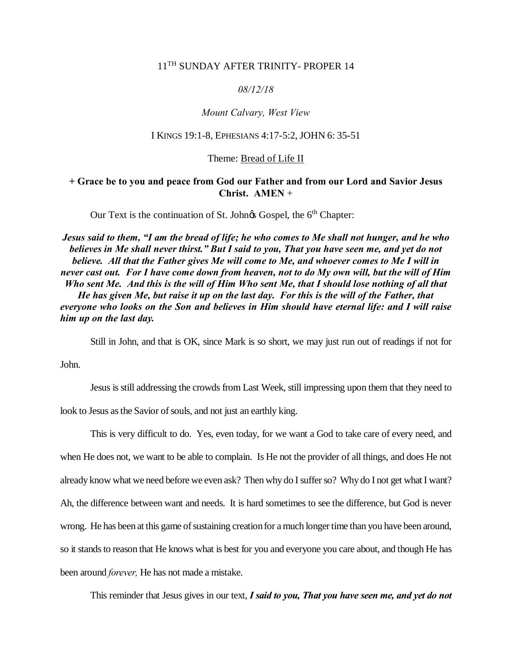# 11<sup>TH</sup> SUNDAY AFTER TRINITY- PROPER 14

### *08/12/18*

### *Mount Calvary, West View*

#### I KINGS 19:1-8, EPHESIANS 4:17-5:2, JOHN 6: 35-51

#### Theme: Bread of Life II

## **+ Grace be to you and peace from God our Father and from our Lord and Savior Jesus Christ. AMEN** +

Our Text is the continuation of St. John $\alpha$  Gospel, the 6<sup>th</sup> Chapter:

*Jesus said to them, "I am the bread of life; he who comes to Me shall not hunger, and he who believes in Me shall never thirst." But I said to you, That you have seen me, and yet do not believe. All that the Father gives Me will come to Me, and whoever comes to Me I will in never cast out. For I have come down from heaven, not to do My own will, but the will of Him Who sent Me. And this is the will of Him Who sent Me, that I should lose nothing of all that He has given Me, but raise it up on the last day. For this is the will of the Father, that everyone who looks on the Son and believes in Him should have eternal life: and I will raise him up on the last day.*

Still in John, and that is OK, since Mark is so short, we may just run out of readings if not for

John.

Jesus is still addressing the crowds from Last Week, still impressing upon them that they need to

look to Jesus as the Savior of souls, and not just an earthly king.

This is very difficult to do. Yes, even today, for we want a God to take care of every need, and when He does not, we want to be able to complain. Is He not the provider of all things, and does He not already know what we need before we even ask? Then why do I suffer so? Why do I not get what I want? Ah, the difference between want and needs. It is hard sometimes to see the difference, but God is never wrong. He has been at this game of sustaining creation for a much longer time than you have been around, so it stands to reason that He knows what is best for you and everyone you care about, and though He has been around *forever,* He has not made a mistake.

This reminder that Jesus gives in our text, *I said to you, That you have seen me, and yet do not*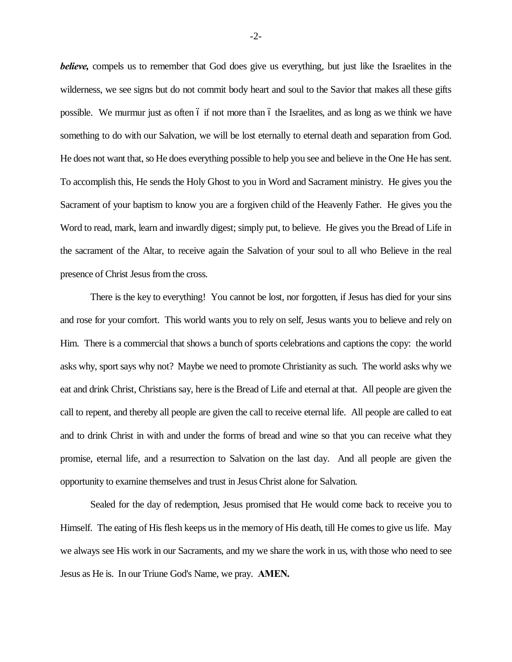*believe,* compels us to remember that God does give us everything, but just like the Israelites in the wilderness, we see signs but do not commit body heart and soul to the Savior that makes all these gifts possible. We murmur just as often 6 if not more than 6 the Israelites, and as long as we think we have something to do with our Salvation, we will be lost eternally to eternal death and separation from God. He does not want that, so He does everything possible to help you see and believe in the One He has sent. To accomplish this, He sends the Holy Ghost to you in Word and Sacrament ministry. He gives you the Sacrament of your baptism to know you are a forgiven child of the Heavenly Father. He gives you the Word to read, mark, learn and inwardly digest; simply put, to believe. He gives you the Bread of Life in the sacrament of the Altar, to receive again the Salvation of your soul to all who Believe in the real presence of Christ Jesus from the cross.

There is the key to everything! You cannot be lost, nor forgotten, if Jesus has died for your sins and rose for your comfort. This world wants you to rely on self, Jesus wants you to believe and rely on Him. There is a commercial that shows a bunch of sports celebrations and captions the copy: the world asks why, sport says why not? Maybe we need to promote Christianity as such. The world asks why we eat and drink Christ, Christians say, here is the Bread of Life and eternal at that. All people are given the call to repent, and thereby all people are given the call to receive eternal life. All people are called to eat and to drink Christ in with and under the forms of bread and wine so that you can receive what they promise, eternal life, and a resurrection to Salvation on the last day. And all people are given the opportunity to examine themselves and trust in Jesus Christ alone for Salvation.

Sealed for the day of redemption, Jesus promised that He would come back to receive you to Himself. The eating of His flesh keeps us in the memory of His death, till He comes to give us life. May we always see His work in our Sacraments, and my we share the work in us, with those who need to see Jesus as He is. In our Triune God's Name, we pray. **AMEN.**

-2-